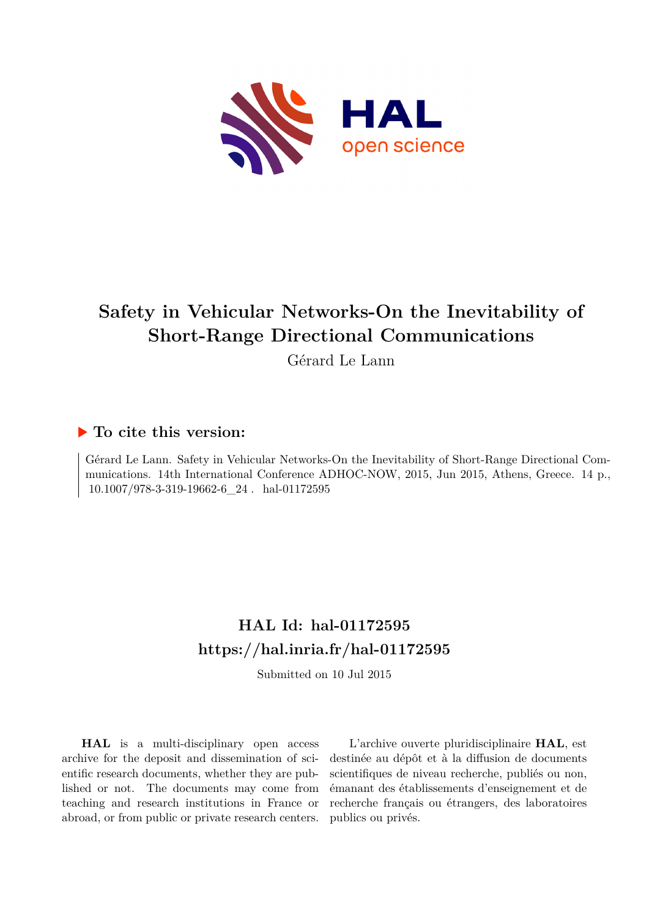

# **Safety in Vehicular Networks-On the Inevitability of Short-Range Directional Communications**

Gérard Le Lann

# **To cite this version:**

Gérard Le Lann. Safety in Vehicular Networks-On the Inevitability of Short-Range Directional Communications. 14th International Conference ADHOC-NOW, 2015, Jun 2015, Athens, Greece. 14 p.,  $10.1007/978-3-319-19662-6\_24$ . hal-01172595

# **HAL Id: hal-01172595 <https://hal.inria.fr/hal-01172595>**

Submitted on 10 Jul 2015

**HAL** is a multi-disciplinary open access archive for the deposit and dissemination of scientific research documents, whether they are published or not. The documents may come from teaching and research institutions in France or abroad, or from public or private research centers.

L'archive ouverte pluridisciplinaire **HAL**, est destinée au dépôt et à la diffusion de documents scientifiques de niveau recherche, publiés ou non, émanant des établissements d'enseignement et de recherche français ou étrangers, des laboratoires publics ou privés.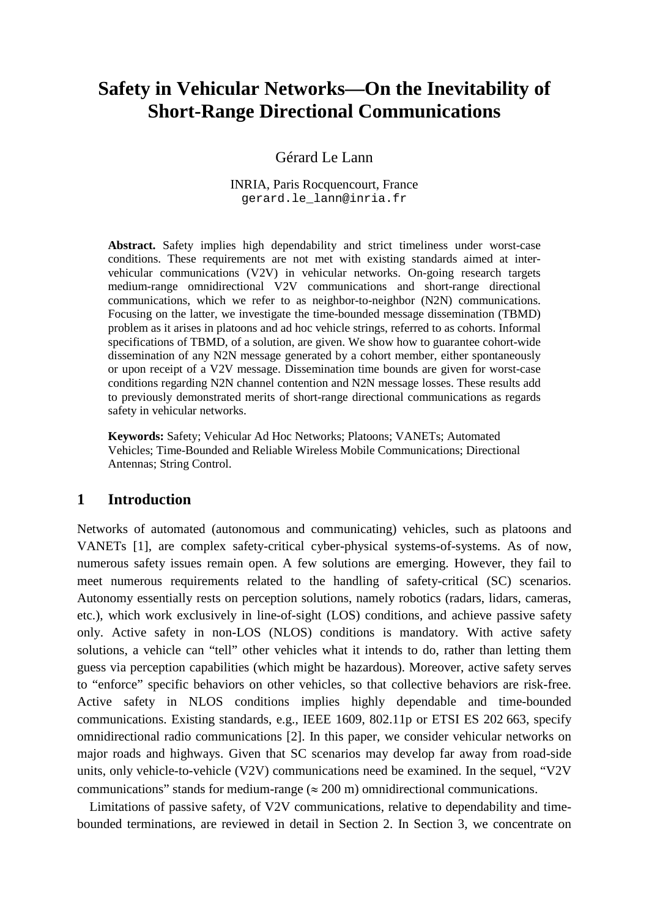# **Safety in Vehicular Networks—On the Inevitability of Short-Range Directional Communications**

Gérard Le Lann

INRIA, Paris Rocquencourt, France [gerard.le\\_lann@inria.fr](mailto:gerard.le_lann@inria.fr)

**Abstract.** Safety implies high dependability and strict timeliness under worst-case conditions. These requirements are not met with existing standards aimed at intervehicular communications (V2V) in vehicular networks. On-going research targets medium-range omnidirectional V2V communications and short-range directional communications, which we refer to as neighbor-to-neighbor (N2N) communications. Focusing on the latter, we investigate the time-bounded message dissemination (TBMD) problem as it arises in platoons and ad hoc vehicle strings, referred to as cohorts. Informal specifications of TBMD, of a solution, are given. We show how to guarantee cohort-wide dissemination of any N2N message generated by a cohort member, either spontaneously or upon receipt of a V2V message. Dissemination time bounds are given for worst-case conditions regarding N2N channel contention and N2N message losses. These results add to previously demonstrated merits of short-range directional communications as regards safety in vehicular networks.

**Keywords:** Safety; Vehicular Ad Hoc Networks; Platoons; VANETs; Automated Vehicles; Time-Bounded and Reliable Wireless Mobile Communications; Directional Antennas; String Control.

# **1 Introduction**

Networks of automated (autonomous and communicating) vehicles, such as platoons and VANETs [1], are complex safety-critical cyber-physical systems-of-systems. As of now, numerous safety issues remain open. A few solutions are emerging. However, they fail to meet numerous requirements related to the handling of safety-critical (SC) scenarios. Autonomy essentially rests on perception solutions, namely robotics (radars, lidars, cameras, etc.), which work exclusively in line-of-sight (LOS) conditions, and achieve passive safety only. Active safety in non-LOS (NLOS) conditions is mandatory. With active safety solutions, a vehicle can "tell" other vehicles what it intends to do, rather than letting them guess via perception capabilities (which might be hazardous). Moreover, active safety serves to "enforce" specific behaviors on other vehicles, so that collective behaviors are risk-free. Active safety in NLOS conditions implies highly dependable and time-bounded communications. Existing standards, e.g., IEEE 1609, 802.11p or ETSI ES 202 663, specify omnidirectional radio communications [2]. In this paper, we consider vehicular networks on major roads and highways. Given that SC scenarios may develop far away from road-side units, only vehicle-to-vehicle (V2V) communications need be examined. In the sequel, "V2V communications" stands for medium-range ( $\approx$  200 m) omnidirectional communications.

Limitations of passive safety, of V2V communications, relative to dependability and timebounded terminations, are reviewed in detail in Section 2. In Section 3, we concentrate on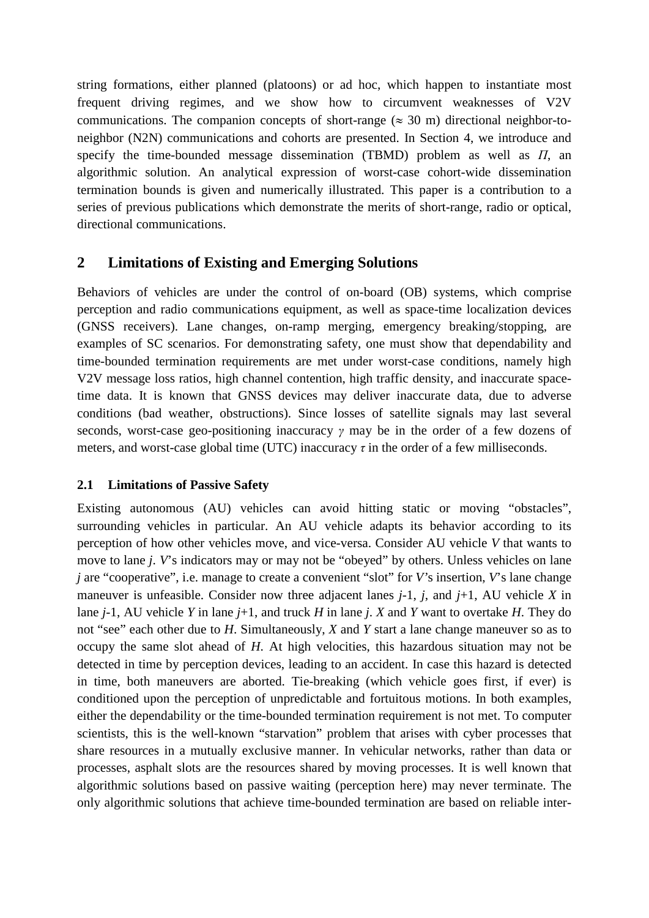string formations, either planned (platoons) or ad hoc, which happen to instantiate most frequent driving regimes, and we show how to circumvent weaknesses of V2V communications. The companion concepts of short-range ( $\approx$  30 m) directional neighbor-toneighbor (N2N) communications and cohorts are presented. In Section 4, we introduce and specify the time-bounded message dissemination (TBMD) problem as well as *Π*, an algorithmic solution. An analytical expression of worst-case cohort-wide dissemination termination bounds is given and numerically illustrated. This paper is a contribution to a series of previous publications which demonstrate the merits of short-range, radio or optical, directional communications.

# **2 Limitations of Existing and Emerging Solutions**

Behaviors of vehicles are under the control of on-board (OB) systems, which comprise perception and radio communications equipment, as well as space-time localization devices (GNSS receivers). Lane changes, on-ramp merging, emergency breaking/stopping, are examples of SC scenarios. For demonstrating safety, one must show that dependability and time-bounded termination requirements are met under worst-case conditions, namely high V2V message loss ratios, high channel contention, high traffic density, and inaccurate spacetime data. It is known that GNSS devices may deliver inaccurate data, due to adverse conditions (bad weather, obstructions). Since losses of satellite signals may last several seconds, worst-case geo-positioning inaccuracy *γ* may be in the order of a few dozens of meters, and worst-case global time (UTC) inaccuracy  $\tau$  in the order of a few milliseconds.

# **2.1 Limitations of Passive Safety**

Existing autonomous (AU) vehicles can avoid hitting static or moving "obstacles", surrounding vehicles in particular. An AU vehicle adapts its behavior according to its perception of how other vehicles move, and vice-versa. Consider AU vehicle *V* that wants to move to lane *j*. *V*'s indicators may or may not be "obeyed" by others. Unless vehicles on lane *j* are "cooperative", i.e. manage to create a convenient "slot" for *V'*s insertion, *V*'s lane change maneuver is unfeasible. Consider now three adjacent lanes *j*-1, *j*, and *j*+1, AU vehicle *X* in lane *j*-1, AU vehicle *Y* in lane *j*+1, and truck *H* in lane *j*. *X* and *Y* want to overtake *H*. They do not "see" each other due to *H*. Simultaneously, *X* and *Y* start a lane change maneuver so as to occupy the same slot ahead of *H*. At high velocities, this hazardous situation may not be detected in time by perception devices, leading to an accident. In case this hazard is detected in time, both maneuvers are aborted. Tie-breaking (which vehicle goes first, if ever) is conditioned upon the perception of unpredictable and fortuitous motions. In both examples, either the dependability or the time-bounded termination requirement is not met. To computer scientists, this is the well-known "starvation" problem that arises with cyber processes that share resources in a mutually exclusive manner. In vehicular networks, rather than data or processes, asphalt slots are the resources shared by moving processes. It is well known that algorithmic solutions based on passive waiting (perception here) may never terminate. The only algorithmic solutions that achieve time-bounded termination are based on reliable inter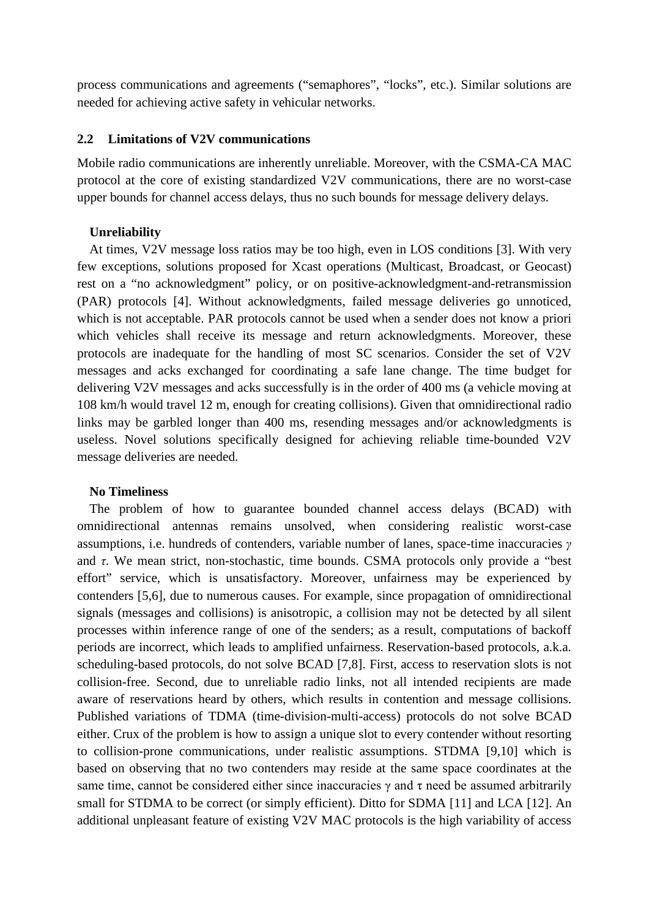process communications and agreements ("semaphores", "locks", etc.). Similar solutions are needed for achieving active safety in vehicular networks.

#### **2.2 Limitations of V2V communications**

Mobile radio communications are inherently unreliable. Moreover, with the CSMA-CA MAC protocol at the core of existing standardized V2V communications, there are no worst-case upper bounds for channel access delays, thus no such bounds for message delivery delays.

#### **Unreliability**

At times, V2V message loss ratios may be too high, even in LOS conditions [3]. With very few exceptions, solutions proposed for Xcast operations (Multicast, Broadcast, or Geocast) rest on a "no acknowledgment" policy, or on positive-acknowledgment-and-retransmission (PAR) protocols [4]. Without acknowledgments, failed message deliveries go unnoticed, which is not acceptable. PAR protocols cannot be used when a sender does not know a priori which vehicles shall receive its message and return acknowledgments. Moreover, these protocols are inadequate for the handling of most SC scenarios. Consider the set of V2V messages and acks exchanged for coordinating a safe lane change. The time budget for delivering V2V messages and acks successfully is in the order of 400 ms (a vehicle moving at 108 km/h would travel 12 m, enough for creating collisions). Given that omnidirectional radio links may be garbled longer than 400 ms, resending messages and/or acknowledgments is useless. Novel solutions specifically designed for achieving reliable time-bounded V2V message deliveries are needed.

#### **No Timeliness**

The problem of how to guarantee bounded channel access delays (BCAD) with omnidirectional antennas remains unsolved, when considering realistic worst-case assumptions, i.e. hundreds of contenders, variable number of lanes, space-time inaccuracies *γ*  and *τ*. We mean strict, non-stochastic, time bounds. CSMA protocols only provide a "best effort" service, which is unsatisfactory. Moreover, unfairness may be experienced by contenders [5,6], due to numerous causes. For example, since propagation of omnidirectional signals (messages and collisions) is anisotropic, a collision may not be detected by all silent processes within inference range of one of the senders; as a result, computations of backoff periods are incorrect, which leads to amplified unfairness. Reservation-based protocols, a.k.a. scheduling-based protocols, do not solve BCAD [7,8]. First, access to reservation slots is not collision-free. Second, due to unreliable radio links, not all intended recipients are made aware of reservations heard by others, which results in contention and message collisions. Published variations of TDMA (time-division-multi-access) protocols do not solve BCAD either. Crux of the problem is how to assign a unique slot to every contender without resorting to collision-prone communications, under realistic assumptions. STDMA [9,10] which is based on observing that no two contenders may reside at the same space coordinates at the same time, cannot be considered either since inaccuracies  $\gamma$  and  $\tau$  need be assumed arbitrarily small for STDMA to be correct (or simply efficient). Ditto for SDMA [11] and LCA [12]. An additional unpleasant feature of existing V2V MAC protocols is the high variability of access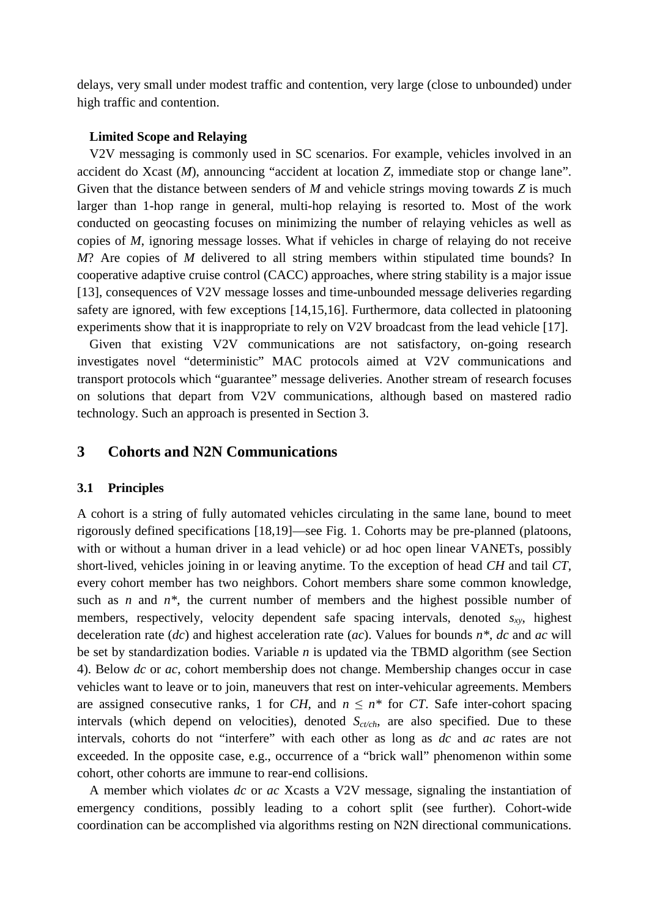delays, very small under modest traffic and contention, very large (close to unbounded) under high traffic and contention.

#### **Limited Scope and Relaying**

V2V messaging is commonly used in SC scenarios. For example, vehicles involved in an accident do Xcast (*M*), announcing "accident at location *Z*, immediate stop or change lane". Given that the distance between senders of *M* and vehicle strings moving towards *Z* is much larger than 1-hop range in general, multi-hop relaying is resorted to. Most of the work conducted on geocasting focuses on minimizing the number of relaying vehicles as well as copies of *M*, ignoring message losses. What if vehicles in charge of relaying do not receive *M*? Are copies of *M* delivered to all string members within stipulated time bounds? In cooperative adaptive cruise control (CACC) approaches, where string stability is a major issue [13], consequences of V2V message losses and time-unbounded message deliveries regarding safety are ignored, with few exceptions [14,15,16]. Furthermore, data collected in platooning experiments show that it is inappropriate to rely on V2V broadcast from the lead vehicle [17].

Given that existing V2V communications are not satisfactory, on-going research investigates novel "deterministic" MAC protocols aimed at V2V communications and transport protocols which "guarantee" message deliveries. Another stream of research focuses on solutions that depart from V2V communications, although based on mastered radio technology. Such an approach is presented in Section 3.

## **3 Cohorts and N2N Communications**

#### **3.1 Principles**

A cohort is a string of fully automated vehicles circulating in the same lane, bound to meet rigorously defined specifications [18,19]—see Fig. 1. Cohorts may be pre-planned (platoons, with or without a human driver in a lead vehicle) or ad hoc open linear VANETs, possibly short-lived, vehicles joining in or leaving anytime. To the exception of head *CH* and tail *CT*, every cohort member has two neighbors. Cohort members share some common knowledge, such as  $n$  and  $n^*$ , the current number of members and the highest possible number of members, respectively, velocity dependent safe spacing intervals, denoted  $s_{xy}$ , highest deceleration rate (*dc*) and highest acceleration rate (*ac*). Values for bounds *n\**, *dc* and *ac* will be set by standardization bodies. Variable *n* is updated via the TBMD algorithm (see Section 4). Below *dc* or *ac*, cohort membership does not change. Membership changes occur in case vehicles want to leave or to join, maneuvers that rest on inter-vehicular agreements. Members are assigned consecutive ranks, 1 for *CH*, and  $n \leq n^*$  for *CT*. Safe inter-cohort spacing intervals (which depend on velocities), denoted  $S_{ct-ch}$ , are also specified. Due to these intervals, cohorts do not "interfere" with each other as long as *dc* and *ac* rates are not exceeded. In the opposite case, e.g., occurrence of a "brick wall" phenomenon within some cohort, other cohorts are immune to rear-end collisions.

A member which violates *dc* or *ac* Xcasts a V2V message, signaling the instantiation of emergency conditions, possibly leading to a cohort split (see further). Cohort-wide coordination can be accomplished via algorithms resting on N2N directional communications.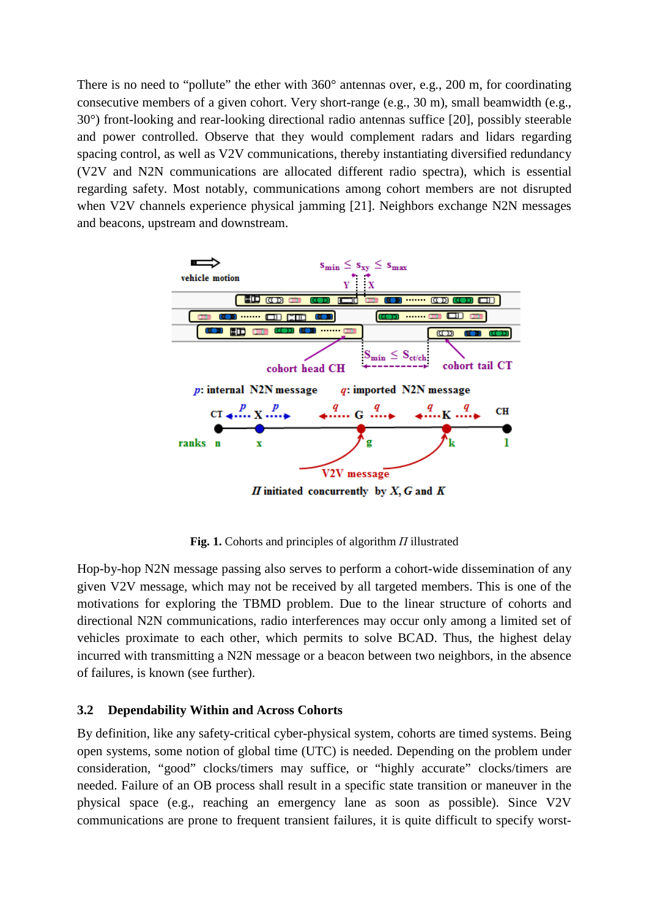There is no need to "pollute" the ether with 360° antennas over, e.g., 200 m, for coordinating consecutive members of a given cohort. Very short-range (e.g., 30 m), small beamwidth (e.g., 30°) front-looking and rear-looking directional radio antennas suffice [20], possibly steerable and power controlled. Observe that they would complement radars and lidars regarding spacing control, as well as V2V communications, thereby instantiating diversified redundancy (V2V and N2N communications are allocated different radio spectra), which is essential regarding safety. Most notably, communications among cohort members are not disrupted when V2V channels experience physical jamming [21]. Neighbors exchange N2N messages and beacons, upstream and downstream.



**Fig. 1.** Cohorts and principles of algorithm *Π* illustrated

Hop-by-hop N2N message passing also serves to perform a cohort-wide dissemination of any given V2V message, which may not be received by all targeted members. This is one of the motivations for exploring the TBMD problem. Due to the linear structure of cohorts and directional N2N communications, radio interferences may occur only among a limited set of vehicles proximate to each other, which permits to solve BCAD. Thus, the highest delay incurred with transmitting a N2N message or a beacon between two neighbors, in the absence of failures, is known (see further).

### **3.2 Dependability Within and Across Cohorts**

By definition, like any safety-critical cyber-physical system, cohorts are timed systems. Being open systems, some notion of global time (UTC) is needed. Depending on the problem under consideration, "good" clocks/timers may suffice, or "highly accurate" clocks/timers are needed. Failure of an OB process shall result in a specific state transition or maneuver in the physical space (e.g., reaching an emergency lane as soon as possible). Since V2V communications are prone to frequent transient failures, it is quite difficult to specify worst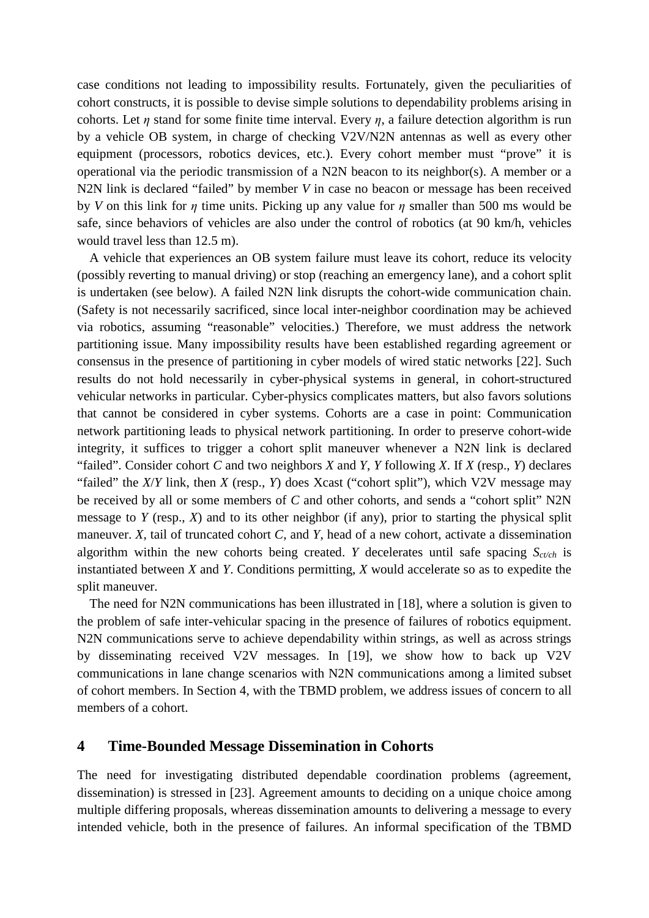case conditions not leading to impossibility results. Fortunately, given the peculiarities of cohort constructs, it is possible to devise simple solutions to dependability problems arising in cohorts. Let  $\eta$  stand for some finite time interval. Every  $\eta$ , a failure detection algorithm is run by a vehicle OB system, in charge of checking V2V/N2N antennas as well as every other equipment (processors, robotics devices, etc.). Every cohort member must "prove" it is operational via the periodic transmission of a N2N beacon to its neighbor(s). A member or a N2N link is declared "failed" by member *V* in case no beacon or message has been received by *V* on this link for *η* time units. Picking up any value for *η* smaller than 500 ms would be safe, since behaviors of vehicles are also under the control of robotics (at 90 km/h, vehicles would travel less than 12.5 m).

A vehicle that experiences an OB system failure must leave its cohort, reduce its velocity (possibly reverting to manual driving) or stop (reaching an emergency lane), and a cohort split is undertaken (see below). A failed N2N link disrupts the cohort-wide communication chain. (Safety is not necessarily sacrificed, since local inter-neighbor coordination may be achieved via robotics, assuming "reasonable" velocities.) Therefore, we must address the network partitioning issue. Many impossibility results have been established regarding agreement or consensus in the presence of partitioning in cyber models of wired static networks [22]. Such results do not hold necessarily in cyber-physical systems in general, in cohort-structured vehicular networks in particular. Cyber-physics complicates matters, but also favors solutions that cannot be considered in cyber systems. Cohorts are a case in point: Communication network partitioning leads to physical network partitioning. In order to preserve cohort-wide integrity, it suffices to trigger a cohort split maneuver whenever a N2N link is declared "failed". Consider cohort *C* and two neighbors *X* and *Y*, *Y* following *X*. If *X* (resp., *Y*) declares "failed" the *X*/*Y* link, then *X* (resp., *Y*) does Xcast ("cohort split"), which V2V message may be received by all or some members of *C* and other cohorts, and sends a "cohort split" N2N message to *Y* (resp., *X*) and to its other neighbor (if any), prior to starting the physical split maneuver. *X*, tail of truncated cohort *C*, and *Y*, head of a new cohort, activate a dissemination algorithm within the new cohorts being created. *Y* decelerates until safe spacing *Sct/ch* is instantiated between *X* and *Y*. Conditions permitting, *X* would accelerate so as to expedite the split maneuver.

The need for N2N communications has been illustrated in [18], where a solution is given to the problem of safe inter-vehicular spacing in the presence of failures of robotics equipment. N2N communications serve to achieve dependability within strings, as well as across strings by disseminating received V2V messages. In [19], we show how to back up V2V communications in lane change scenarios with N2N communications among a limited subset of cohort members. In Section 4, with the TBMD problem, we address issues of concern to all members of a cohort.

# **4 Time-Bounded Message Dissemination in Cohorts**

The need for investigating distributed dependable coordination problems (agreement, dissemination) is stressed in [23]. Agreement amounts to deciding on a unique choice among multiple differing proposals, whereas dissemination amounts to delivering a message to every intended vehicle, both in the presence of failures. An informal specification of the TBMD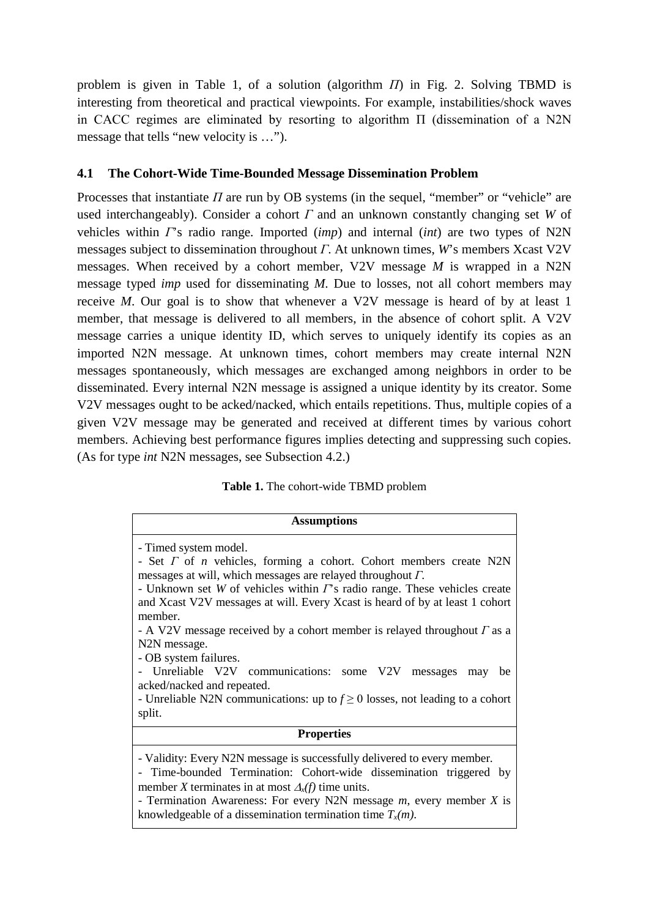problem is given in Table 1, of a solution (algorithm *Π*) in Fig. 2. Solving TBMD is interesting from theoretical and practical viewpoints. For example, instabilities/shock waves in CACC regimes are eliminated by resorting to algorithm Π (dissemination of a N2N message that tells "new velocity is …").

### **4.1 The Cohort-Wide Time-Bounded Message Dissemination Problem**

Processes that instantiate *Π* are run by OB systems (in the sequel, "member" or "vehicle" are used interchangeably). Consider a cohort *Γ* and an unknown constantly changing set *W* of vehicles within *Γ*'s radio range. Imported (*imp*) and internal (*int*) are two types of N2N messages subject to dissemination throughout *Γ*. At unknown times, *W*'s members Xcast V2V messages. When received by a cohort member, V2V message *M* is wrapped in a N2N message typed *imp* used for disseminating *M*. Due to losses, not all cohort members may receive *M*. Our goal is to show that whenever a V2V message is heard of by at least 1 member, that message is delivered to all members, in the absence of cohort split. A V2V message carries a unique identity ID, which serves to uniquely identify its copies as an imported N2N message. At unknown times, cohort members may create internal N2N messages spontaneously, which messages are exchanged among neighbors in order to be disseminated. Every internal N2N message is assigned a unique identity by its creator. Some V2V messages ought to be acked/nacked, which entails repetitions. Thus, multiple copies of a given V2V message may be generated and received at different times by various cohort members. Achieving best performance figures implies detecting and suppressing such copies. (As for type *int* N2N messages, see Subsection 4.2.)

| Table 1. The cohort-wide TBMD problem |
|---------------------------------------|
|---------------------------------------|

| <b>Assumptions</b>                                                                                                                                                                                                                                                                                                                                                                                                                                                                                                                                                                                                                                                                      |  |  |
|-----------------------------------------------------------------------------------------------------------------------------------------------------------------------------------------------------------------------------------------------------------------------------------------------------------------------------------------------------------------------------------------------------------------------------------------------------------------------------------------------------------------------------------------------------------------------------------------------------------------------------------------------------------------------------------------|--|--|
| - Timed system model.<br>- Set $\Gamma$ of <i>n</i> vehicles, forming a cohort. Cohort members create N2N<br>messages at will, which messages are relayed throughout $\Gamma$ .<br>- Unknown set W of vehicles within $\Gamma$ 's radio range. These vehicles create<br>and Xcast V2V messages at will. Every Xcast is heard of by at least 1 cohort<br>member.<br>- A V2V message received by a cohort member is relayed throughout $\Gamma$ as a<br>N2N message.<br>- OB system failures.<br>- Unreliable V2V communications: some V2V messages may<br>be<br>acked/nacked and repeated.<br>- Unreliable N2N communications: up to $f \ge 0$ losses, not leading to a cohort<br>split. |  |  |
| <b>Properties</b>                                                                                                                                                                                                                                                                                                                                                                                                                                                                                                                                                                                                                                                                       |  |  |
| - Validity: Every N2N message is successfully delivered to every member.<br>- Time-bounded Termination: Cohort-wide dissemination triggered by<br>member X terminates in at most $\Delta_x(f)$ time units.<br>- Termination Awareness: For every N2N message $m$ , every member $X$ is<br>knowledgeable of a dissemination termination time $T_x(m)$ .                                                                                                                                                                                                                                                                                                                                  |  |  |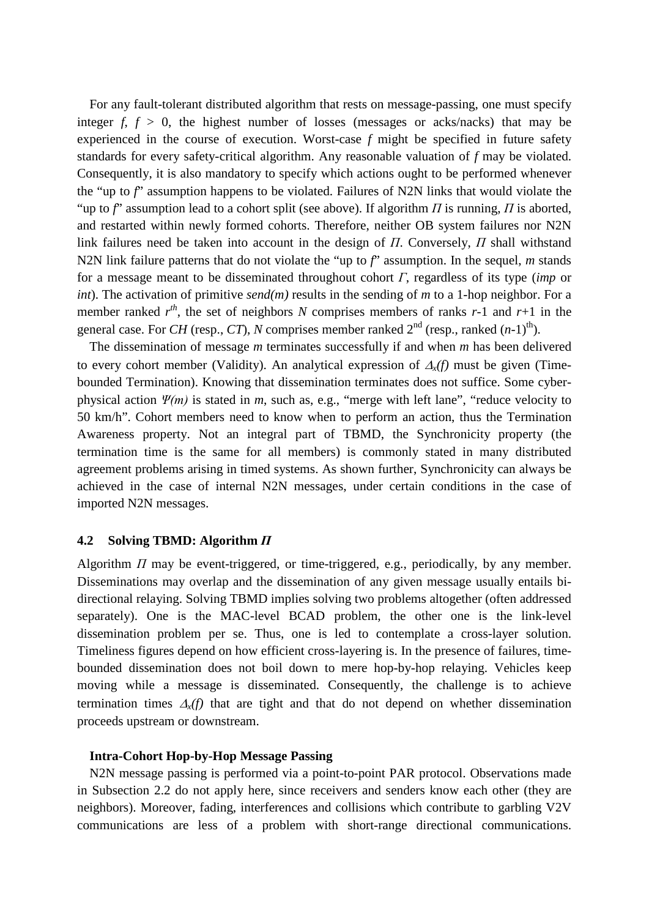For any fault-tolerant distributed algorithm that rests on message-passing, one must specify integer  $f, f > 0$ , the highest number of losses (messages or acks/nacks) that may be experienced in the course of execution. Worst-case *f* might be specified in future safety standards for every safety-critical algorithm. Any reasonable valuation of *f* may be violated. Consequently, it is also mandatory to specify which actions ought to be performed whenever the "up to *f*" assumption happens to be violated. Failures of N2N links that would violate the "up to *f*" assumption lead to a cohort split (see above). If algorithm *Π* is running, *Π* is aborted, and restarted within newly formed cohorts. Therefore, neither OB system failures nor N2N link failures need be taken into account in the design of *Π*. Conversely, *Π* shall withstand N2N link failure patterns that do not violate the "up to *f*" assumption. In the sequel, *m* stands for a message meant to be disseminated throughout cohort *Γ*, regardless of its type (*imp* or *int*). The activation of primitive *send(m)* results in the sending of *m* to a 1-hop neighbor. For a member ranked  $r^{th}$ , the set of neighbors *N* comprises members of ranks *r*-1 and *r*+1 in the general case. For *CH* (resp., *CT*), *N* comprises member ranked  $2^{nd}$  (resp., ranked  $(n-1)^{th}$ ).

The dissemination of message *m* terminates successfully if and when *m* has been delivered to every cohort member (Validity). An analytical expression of ∆*x(f)* must be given (Timebounded Termination). Knowing that dissemination terminates does not suffice. Some cyberphysical action *Ψ(m)* is stated in *m*, such as, e.g., "merge with left lane", "reduce velocity to 50 km/h". Cohort members need to know when to perform an action, thus the Termination Awareness property. Not an integral part of TBMD, the Synchronicity property (the termination time is the same for all members) is commonly stated in many distributed agreement problems arising in timed systems. As shown further, Synchronicity can always be achieved in the case of internal N2N messages, under certain conditions in the case of imported N2N messages.

#### **4.2 Solving TBMD: Algorithm** *Π*

Algorithm *Π* may be event-triggered, or time-triggered, e.g., periodically, by any member. Disseminations may overlap and the dissemination of any given message usually entails bidirectional relaying. Solving TBMD implies solving two problems altogether (often addressed separately). One is the MAC-level BCAD problem, the other one is the link-level dissemination problem per se. Thus, one is led to contemplate a cross-layer solution. Timeliness figures depend on how efficient cross-layering is. In the presence of failures, timebounded dissemination does not boil down to mere hop-by-hop relaying. Vehicles keep moving while a message is disseminated. Consequently, the challenge is to achieve termination times ∆*x(f)* that are tight and that do not depend on whether dissemination proceeds upstream or downstream.

#### **Intra-Cohort Hop-by-Hop Message Passing**

N2N message passing is performed via a point-to-point PAR protocol. Observations made in Subsection 2.2 do not apply here, since receivers and senders know each other (they are neighbors). Moreover, fading, interferences and collisions which contribute to garbling V2V communications are less of a problem with short-range directional communications.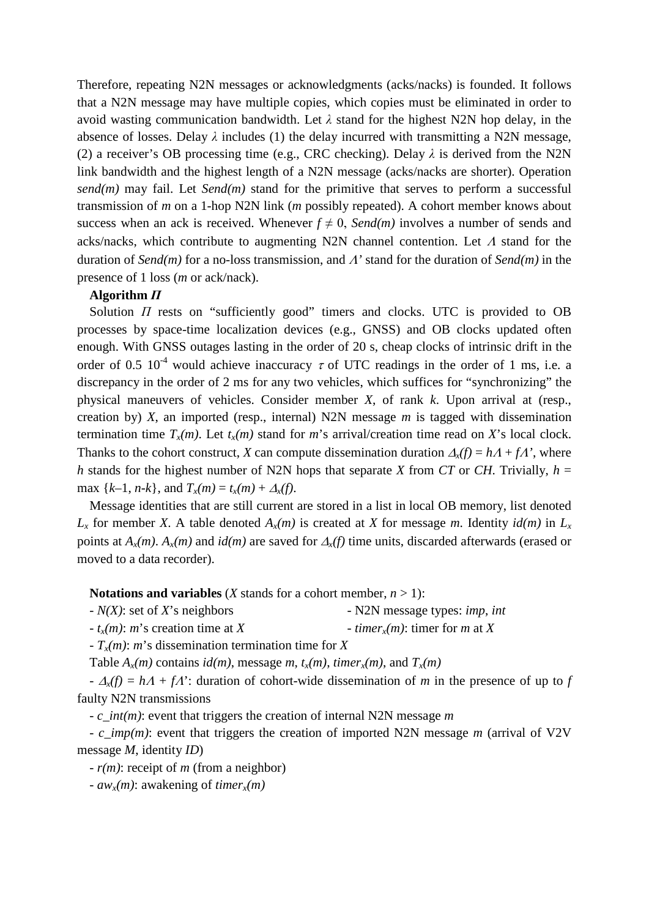Therefore, repeating N2N messages or acknowledgments (acks/nacks) is founded. It follows that a N2N message may have multiple copies, which copies must be eliminated in order to avoid wasting communication bandwidth. Let  $\lambda$  stand for the highest N2N hop delay, in the absence of losses. Delay  $\lambda$  includes (1) the delay incurred with transmitting a N2N message, (2) a receiver's OB processing time (e.g., CRC checking). Delay *λ* is derived from the N2N link bandwidth and the highest length of a N2N message (acks/nacks are shorter). Operation *send(m)* may fail. Let *Send(m)* stand for the primitive that serves to perform a successful transmission of *m* on a 1-hop N2N link (*m* possibly repeated). A cohort member knows about success when an ack is received. Whenever  $f \neq 0$ , *Send(m)* involves a number of sends and acks/nacks, which contribute to augmenting N2N channel contention. Let <sup>Λ</sup> stand for the duration of *Send(m)* for a no-loss transmission, and Λ*'* stand for the duration of *Send(m)* in the presence of 1 loss (*m* or ack/nack).

#### **Algorithm** *Π*

Solution *Π* rests on "sufficiently good" timers and clocks. UTC is provided to OB processes by space-time localization devices (e.g., GNSS) and OB clocks updated often enough. With GNSS outages lasting in the order of 20 s, cheap clocks of intrinsic drift in the order of 0.5  $10^{-4}$  would achieve inaccuracy  $\tau$  of UTC readings in the order of 1 ms, i.e. a discrepancy in the order of 2 ms for any two vehicles, which suffices for "synchronizing" the physical maneuvers of vehicles. Consider member *X*, of rank *k*. Upon arrival at (resp., creation by) *X*, an imported (resp., internal) N2N message *m* is tagged with dissemination termination time  $T_x(m)$ . Let  $t_x(m)$  stand for *m*'s arrival/creation time read on *X*'s local clock. Thanks to the cohort construct, *X* can compute dissemination duration  $\Delta_x(f) = hA + fA'$ , where *h* stands for the highest number of N2N hops that separate *X* from *CT* or *CH*. Trivially,  $h =$ max  $\{k-1, n-k\}$ , and  $T_x(m) = t_x(m) + \Delta_x(f)$ .

Message identities that are still current are stored in a list in local OB memory, list denoted  $L_x$  for member *X*. A table denoted  $A_x(m)$  is created at *X* for message *m*. Identity  $id(m)$  in  $L_x$ points at *Ax(m)*. *Ax(m)* and *id(m)* are saved for ∆*x(f)* time units, discarded afterwards (erased or moved to a data recorder).

**Notations and variables** (*X* stands for a cohort member,  $n > 1$ ):

| $-N(X)$ : set of X's neighbors | - N2N message types: imp, int |
|--------------------------------|-------------------------------|
|                                |                               |

 $-t_x(m)$ : *m*'s creation time at *X* - *timer<sub>x</sub>(m)*: timer for *m* at *X* 

- *Tx(m)*: *m*'s dissemination termination time for *X*

Table  $A_x(m)$  contains  $id(m)$ , message m,  $t_x(m)$ , timer<sub>x</sub> $(m)$ , and  $T_x(m)$ 

 $-\Delta_x(f) = hA + fA'$ : duration of cohort-wide dissemination of *m* in the presence of up to *f* faulty N2N transmissions

- *c\_int(m)*: event that triggers the creation of internal N2N message *m*

- *c\_imp(m)*: event that triggers the creation of imported N2N message *m* (arrival of V2V message *M*, identity *ID*)

- *r(m)*: receipt of *m* (from a neighbor)

 $- aw_x(m)$ : awakening of *timer<sub>x</sub>(m)*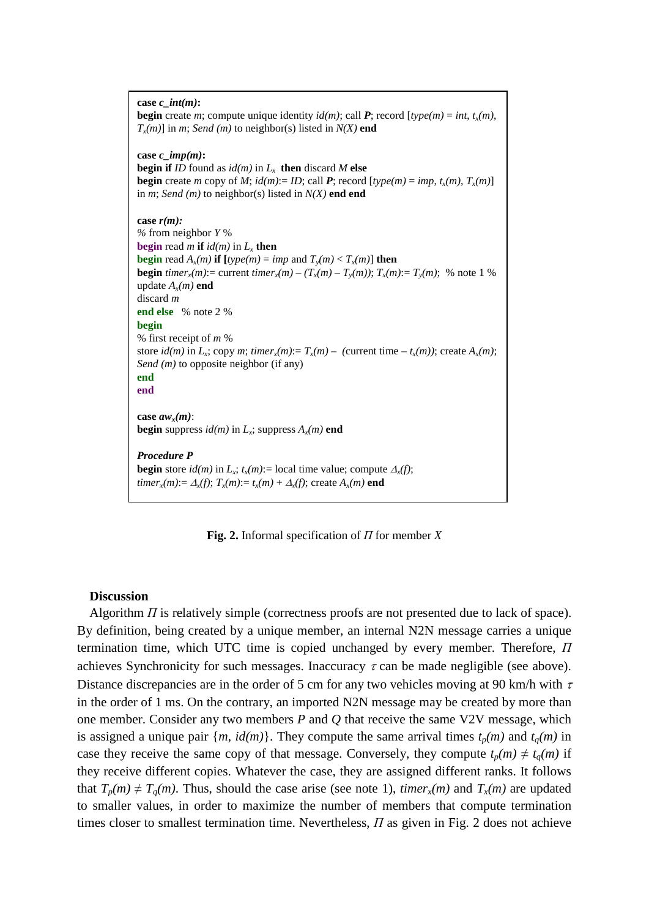**case** *c\_int(m)***: begin** create *m*; compute unique identity  $id(m)$ ; call P; record  $[\text{type}(m) = \text{int}, t_x(m)]$ ,  $T_x(m)$ ] in *m*; *Send (m)* to neighbor(s) listed in  $N(X)$  end **case** *c\_imp(m)***: begin if** *ID* found as  $id(m)$  in  $L<sub>x</sub>$  **then** discard *M* **else begin** create *m* copy of *M*;  $id(m) := ID$ ; call *P*; record  $[type(m) = imp, t_x(m), T_x(m)]$ in *m*; *Send (m)* to neighbor(s) listed in *N(X)* **end end case** *r(m): %* from neighbor *Y* % **begin** read *m* **if**  $id(m)$  in  $L_r$  **then begin** read  $A_r(m)$  **if**  $[\text{type}(m) = \text{imp} \text{ and } T_v(m) < T_r(m)]$  **then begin** *timer<sub>x</sub>(m)*:= current *timer<sub>x</sub>(m)* –  $(T_x(m) - T_y(m))$ ;  $T_x(m) = T_y(m)$ ; % note 1 % update  $A_x(m)$  **end** discard *m* **end else** % note 2 % **begin** % first receipt of *m* % store  $id(m)$  in  $L_x$ ; copy *m*;  $time r_x(m) = T_x(m) -$  (current time  $-t_x(m)$ ); create  $A_x(m)$ ; *Send (m)* to opposite neighbor (if any) **end end** case  $aw_r(m)$ : **begin** suppress  $id(m)$  in  $L_x$ ; suppress  $A_x(m)$  **end** *Procedure P* **begin** store  $id(m)$  in  $L_x$ ;  $t_x(m)$ := local time value; compute  $\Delta_x(f)$ ; *timer<sub>x</sub>*(*m*):=  $\Delta_x(f)$ ;  $T_x(m)$ :=  $t_x(m) + \Delta_x(f)$ ; create  $A_x(m)$  end

**Fig. 2.** Informal specification of *Π* for member *X*

#### **Discussion**

Algorithm *Π* is relatively simple (correctness proofs are not presented due to lack of space). By definition, being created by a unique member, an internal N2N message carries a unique termination time, which UTC time is copied unchanged by every member. Therefore, *Π* achieves Synchronicity for such messages. Inaccuracy  $\tau$  can be made negligible (see above). Distance discrepancies are in the order of 5 cm for any two vehicles moving at 90 km/h with  $\tau$ in the order of 1 ms. On the contrary, an imported N2N message may be created by more than one member. Consider any two members *P* and *Q* that receive the same V2V message, which is assigned a unique pair  $\{m, id(m)\}\$ . They compute the same arrival times  $t_p(m)$  and  $t_q(m)$  in case they receive the same copy of that message. Conversely, they compute  $t_p(m) \neq t_q(m)$  if they receive different copies. Whatever the case, they are assigned different ranks. It follows that  $T_p(m) \neq T_q(m)$ . Thus, should the case arise (see note 1), *timer<sub>x</sub>(m)* and  $T_x(m)$  are updated to smaller values, in order to maximize the number of members that compute termination times closer to smallest termination time. Nevertheless, *Π* as given in Fig. 2 does not achieve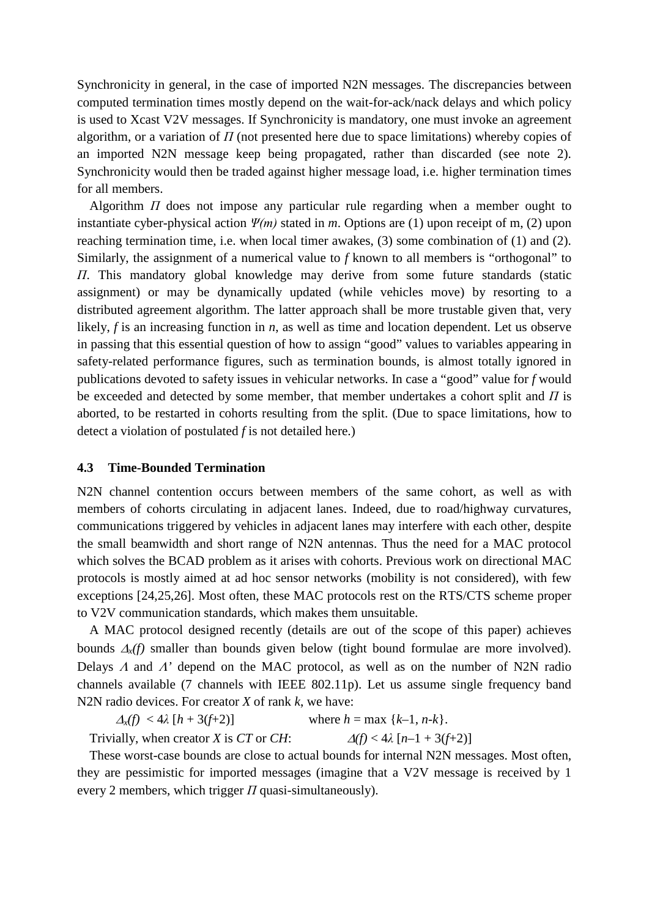Synchronicity in general, in the case of imported N2N messages. The discrepancies between computed termination times mostly depend on the wait-for-ack/nack delays and which policy is used to Xcast V2V messages. If Synchronicity is mandatory, one must invoke an agreement algorithm, or a variation of  $\Pi$  (not presented here due to space limitations) whereby copies of an imported N2N message keep being propagated, rather than discarded (see note 2). Synchronicity would then be traded against higher message load, i.e. higher termination times for all members.

Algorithm *Π* does not impose any particular rule regarding when a member ought to instantiate cyber-physical action *Ψ(m)* stated in *m*. Options are (1) upon receipt of m, (2) upon reaching termination time, i.e. when local timer awakes, (3) some combination of (1) and (2). Similarly, the assignment of a numerical value to *f* known to all members is "orthogonal" to *Π*. This mandatory global knowledge may derive from some future standards (static assignment) or may be dynamically updated (while vehicles move) by resorting to a distributed agreement algorithm. The latter approach shall be more trustable given that, very likely, *f* is an increasing function in *n*, as well as time and location dependent. Let us observe in passing that this essential question of how to assign "good" values to variables appearing in safety-related performance figures, such as termination bounds, is almost totally ignored in publications devoted to safety issues in vehicular networks. In case a "good" value for *f* would be exceeded and detected by some member, that member undertakes a cohort split and *Π* is aborted, to be restarted in cohorts resulting from the split. (Due to space limitations, how to detect a violation of postulated *f* is not detailed here.)

#### **4.3 Time-Bounded Termination**

N2N channel contention occurs between members of the same cohort, as well as with members of cohorts circulating in adjacent lanes. Indeed, due to road/highway curvatures, communications triggered by vehicles in adjacent lanes may interfere with each other, despite the small beamwidth and short range of N2N antennas. Thus the need for a MAC protocol which solves the BCAD problem as it arises with cohorts. Previous work on directional MAC protocols is mostly aimed at ad hoc sensor networks (mobility is not considered), with few exceptions [24,25,26]. Most often, these MAC protocols rest on the RTS/CTS scheme proper to V2V communication standards, which makes them unsuitable.

A MAC protocol designed recently (details are out of the scope of this paper) achieves bounds ∆*x(f)* smaller than bounds given below (tight bound formulae are more involved). Delays <sup>Λ</sup> and Λ*'* depend on the MAC protocol, as well as on the number of N2N radio channels available (7 channels with IEEE 802.11p). Let us assume single frequency band N2N radio devices. For creator *X* of rank *k*, we have:

 $\Delta_x(f) < 4\lambda [h + 3(f+2)]$  where  $h = \max \{k-1, n-k\}.$ Trivially, when creator *X* is *CT* or *CH*:  $\Delta(f) < 4\lambda \left[ n-1 + 3(f+2) \right]$ 

These worst-case bounds are close to actual bounds for internal N2N messages. Most often, they are pessimistic for imported messages (imagine that a V2V message is received by 1 every 2 members, which trigger *Π* quasi-simultaneously).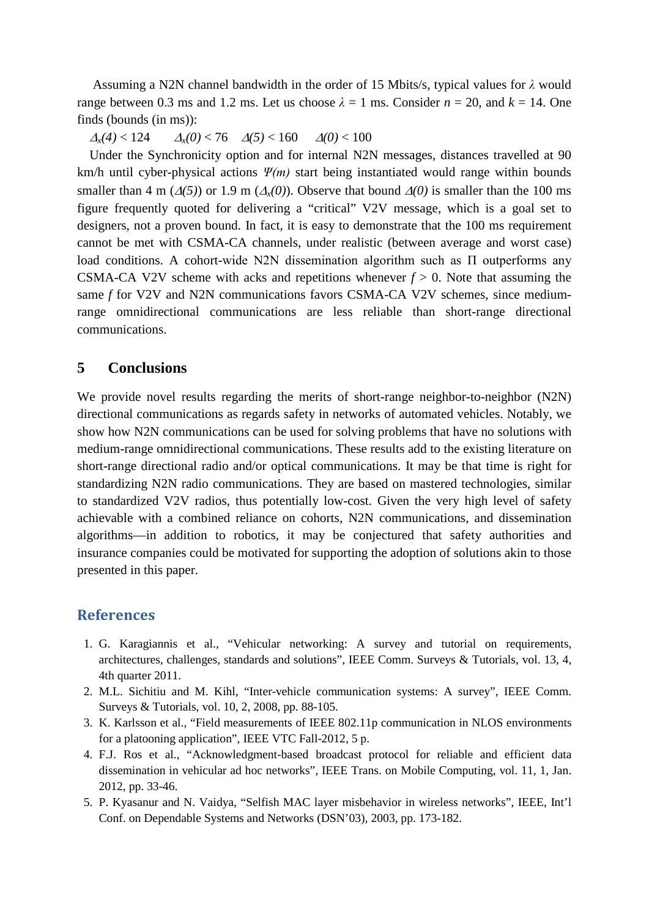Assuming a N2N channel bandwidth in the order of 15 Mbits/s, typical values for *λ* would range between 0.3 ms and 1.2 ms. Let us choose  $\lambda = 1$  ms. Consider  $n = 20$ , and  $k = 14$ . One finds (bounds (in ms)):

 $\Delta$ <sup>*x*</sup>(4) < 124  $\Delta$ <sup>*x*</sup>(0) < 76  $\Delta$ (5) < 160  $\Delta$ (0) < 100

Under the Synchronicity option and for internal N2N messages, distances travelled at 90 km/h until cyber-physical actions *Ψ(m)* start being instantiated would range within bounds smaller than 4 m ( $\Delta(5)$ ) or 1.9 m ( $\Delta_x(0)$ ). Observe that bound  $\Delta(0)$  is smaller than the 100 ms figure frequently quoted for delivering a "critical" V2V message, which is a goal set to designers, not a proven bound. In fact, it is easy to demonstrate that the 100 ms requirement cannot be met with CSMA-CA channels, under realistic (between average and worst case) load conditions. A cohort-wide N2N dissemination algorithm such as Π outperforms any CSMA-CA V2V scheme with acks and repetitions whenever  $f > 0$ . Note that assuming the same *f* for V2V and N2N communications favors CSMA-CA V2V schemes, since mediumrange omnidirectional communications are less reliable than short-range directional communications.

### **5 Conclusions**

We provide novel results regarding the merits of short-range neighbor-to-neighbor (N2N) directional communications as regards safety in networks of automated vehicles. Notably, we show how N2N communications can be used for solving problems that have no solutions with medium-range omnidirectional communications. These results add to the existing literature on short-range directional radio and/or optical communications. It may be that time is right for standardizing N2N radio communications. They are based on mastered technologies, similar to standardized V2V radios, thus potentially low-cost. Given the very high level of safety achievable with a combined reliance on cohorts, N2N communications, and dissemination algorithms—in addition to robotics, it may be conjectured that safety authorities and insurance companies could be motivated for supporting the adoption of solutions akin to those presented in this paper.

## **References**

- 1. G. Karagiannis et al., "Vehicular networking: A survey and tutorial on requirements, architectures, challenges, standards and solutions", IEEE Comm. Surveys & Tutorials, vol. 13, 4, 4th quarter 2011.
- 2. M.L. Sichitiu and M. Kihl, "Inter-vehicle communication systems: A survey", IEEE Comm. Surveys & Tutorials, vol. 10, 2, 2008, pp. 88-105.
- 3. K. Karlsson et al., "Field measurements of IEEE 802.11p communication in NLOS environments for a platooning application", IEEE VTC Fall-2012, 5 p.
- 4. F.J. Ros et al., "Acknowledgment-based broadcast protocol for reliable and efficient data dissemination in vehicular ad hoc networks", IEEE Trans. on Mobile Computing, vol. 11, 1, Jan. 2012, pp. 33-46.
- 5. P. Kyasanur and N. Vaidya, "Selfish MAC layer misbehavior in wireless networks", IEEE, Int'l Conf. on Dependable Systems and Networks (DSN'03), 2003, pp. 173-182.